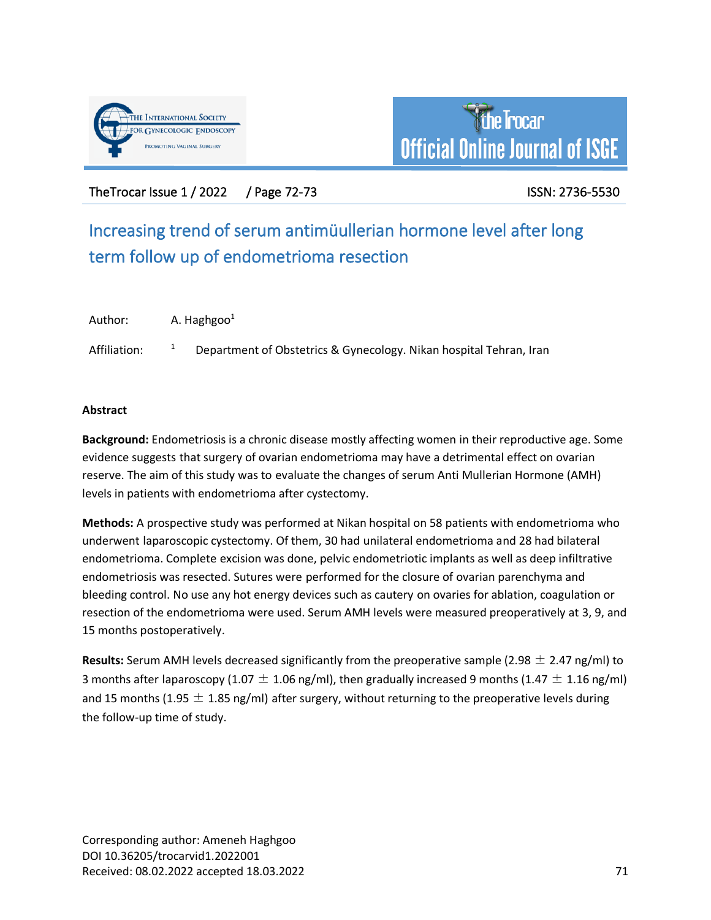



TheTrocar Issue 1 / 2022 / Page 72-73 ISSN: 2736-5530

## Increasing trend of serum antimüullerian hormone level after long term follow up of endometrioma resection

Author: A. Haghgoo<sup>1</sup>

Affiliation: <sup>1</sup> Department of Obstetrics & Gynecology. Nikan hospital Tehran, Iran

## **Abstract**

**Background:** Endometriosis is a chronic disease mostly affecting women in their reproductive age. Some evidence suggests that surgery of ovarian endometrioma may have a detrimental effect on ovarian reserve. The aim of this study was to evaluate the changes of serum Anti Mullerian Hormone (AMH) levels in patients with endometrioma after cystectomy.

**Methods:** A prospective study was performed at Nikan hospital on 58 patients with endometrioma who underwent laparoscopic cystectomy. Of them, 30 had unilateral endometrioma and 28 had bilateral endometrioma. Complete excision was done, pelvic endometriotic implants as well as deep infiltrative endometriosis was resected. Sutures were performed for the closure of ovarian parenchyma and bleeding control. No use any hot energy devices such as cautery on ovaries for ablation, coagulation or resection of the endometrioma were used. Serum AMH levels were measured preoperatively at 3, 9, and 15 months postoperatively.

**Results:** Serum AMH levels decreased significantly from the preoperative sample (2.98 ± 2.47 ng/ml) to 3 months after laparoscopy (1.07  $\pm$  1.06 ng/ml), then gradually increased 9 months (1.47  $\pm$  1.16 ng/ml) and 15 months (1.95  $\pm$  1.85 ng/ml) after surgery, without returning to the preoperative levels during the follow-up time of study.

Corresponding author: Ameneh Haghgoo DOI 10.36205/trocarvid1.2022001 Received: 08.02.2022 accepted 18.03.2022 71